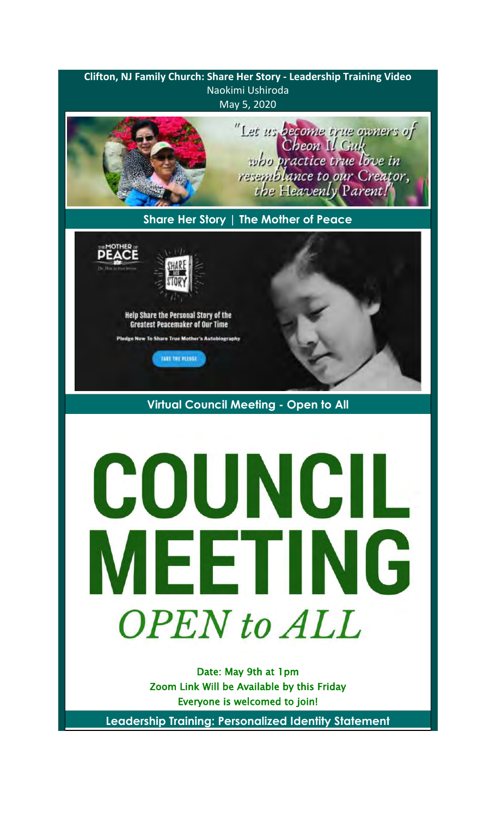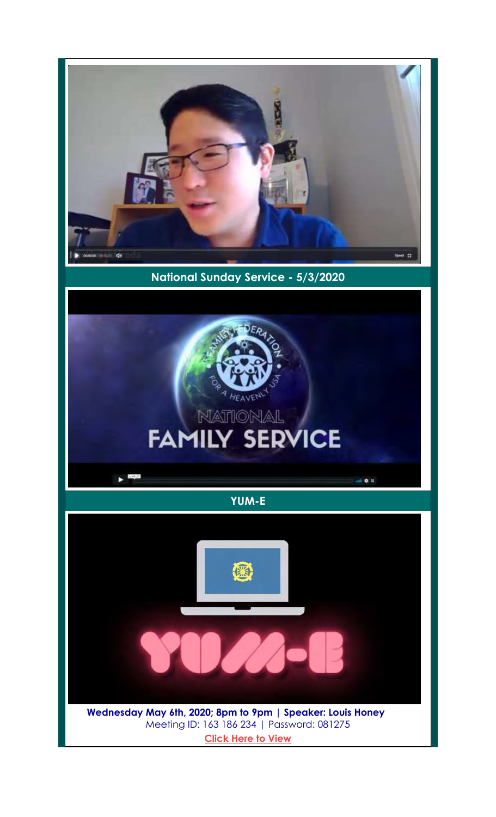